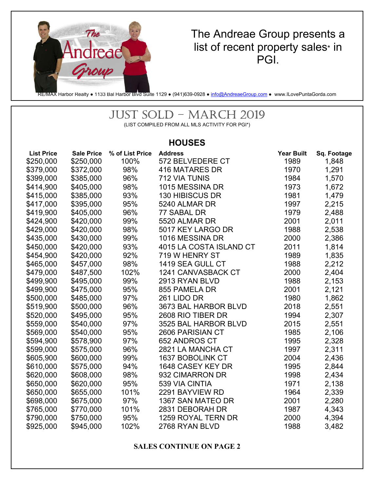

## The Andreae Group presents a list of recent property sales\* in PGI.

RE/MAX Harbor Realty ● 1133 Bal Harbor Blvd Suite 1129 ● (941)639-0928 ● info@AndreaeGroup.com ● www.ILovePuntaGorda.com

# JUST SOLD – MARCH 2019

(LIST COMPILED FROM ALL MLS ACTIVITY FOR PGI\*)

#### **HOUSES**

| <b>List Price</b> | <b>Sale Price</b> | % of List Price | <b>Address</b>          | <b>Year Built</b> | Sq. Footage |
|-------------------|-------------------|-----------------|-------------------------|-------------------|-------------|
| \$250,000         | \$250,000         | 100%            | 572 BELVEDERE CT        | 1989              | 1,848       |
| \$379,000         | \$372,000         | 98%             | 416 MATARES DR          | 1970              | 1,291       |
| \$399,000         | \$385,000         | 96%             | <b>712 VIA TUNIS</b>    | 1984              | 1,570       |
| \$414,900         | \$405,000         | 98%             | 1015 MESSINA DR         | 1973              | 1,672       |
| \$415,000         | \$385,000         | 93%             | 130 HIBISCUS DR         | 1981              | 1,479       |
| \$417,000         | \$395,000         | 95%             | 5240 ALMAR DR           | 1997              | 2,215       |
| \$419,900         | \$405,000         | 96%             | 77 SABAL DR             | 1979              | 2,488       |
| \$424,900         | \$420,000         | 99%             | 5520 ALMAR DR           | 2001              | 2,011       |
| \$429,000         | \$420,000         | 98%             | 5017 KEY LARGO DR       | 1988              | 2,538       |
| \$435,000         | \$430,000         | 99%             | 1016 MESSINA DR         | 2000              | 2,386       |
| \$450,000         | \$420,000         | 93%             | 4015 LA COSTA ISLAND CT | 2011              | 1,814       |
| \$454,900         | \$420,000         | 92%             | 719 W HENRY ST          | 1989              | 1,835       |
| \$465,000         | \$457,000         | 98%             | 1419 SEA GULL CT        | 1988              | 2,212       |
| \$479,000         | \$487,500         | 102%            | 1241 CANVASBACK CT      | 2000              | 2,404       |
| \$499,900         | \$495,000         | 99%             | 2913 RYAN BLVD          | 1988              | 2,153       |
| \$499,900         | \$475,000         | 95%             | 855 PAMELA DR           | 2001              | 2,121       |
| \$500,000         | \$485,000         | 97%             | 261 LIDO DR             | 1980              | 1,862       |
| \$519,900         | \$500,000         | 96%             | 3673 BAL HARBOR BLVD    | 2018              | 2,551       |
| \$520,000         | \$495,000         | 95%             | 2608 RIO TIBER DR       | 1994              | 2,307       |
| \$559,000         | \$540,000         | 97%             | 3525 BAL HARBOR BLVD    | 2015              | 2,551       |
| \$569,000         | \$540,000         | 95%             | 2606 PARISIAN CT        | 1985              | 2,106       |
| \$594,900         | \$578,900         | 97%             | 652 ANDROS CT           | 1995              | 2,328       |
| \$599,000         | \$575,000         | 96%             | 2821 LA MANCHA CT       | 1997              | 2,311       |
| \$605,900         | \$600,000         | 99%             | 1637 BOBOLINK CT        | 2004              | 2,436       |
| \$610,000         | \$575,000         | 94%             | 1648 CASEY KEY DR       | 1995              | 2,844       |
| \$620,000         | \$608,000         | 98%             | 932 CIMARRON DR         | 1998              | 2,434       |
| \$650,000         | \$620,000         | 95%             | 539 VIA CINTIA          | 1971              | 2,138       |
| \$650,000         | \$655,000         | 101%            | 2291 BAYVIEW RD         | 1964              | 2,339       |
| \$698,000         | \$675,000         | 97%             | 1367 SAN MATEO DR       | 2001              | 2,280       |
| \$765,000         | \$770,000         | 101%            | 2831 DEBORAH DR         | 1987              | 4,343       |
| \$790,000         | \$750,000         | 95%             | 1259 ROYAL TERN DR      | 2000              | 4,394       |
| \$925,000         | \$945,000         | 102%            | 2768 RYAN BLVD          | 1988              | 3,482       |

**SALES CONTINUE ON PAGE 2**